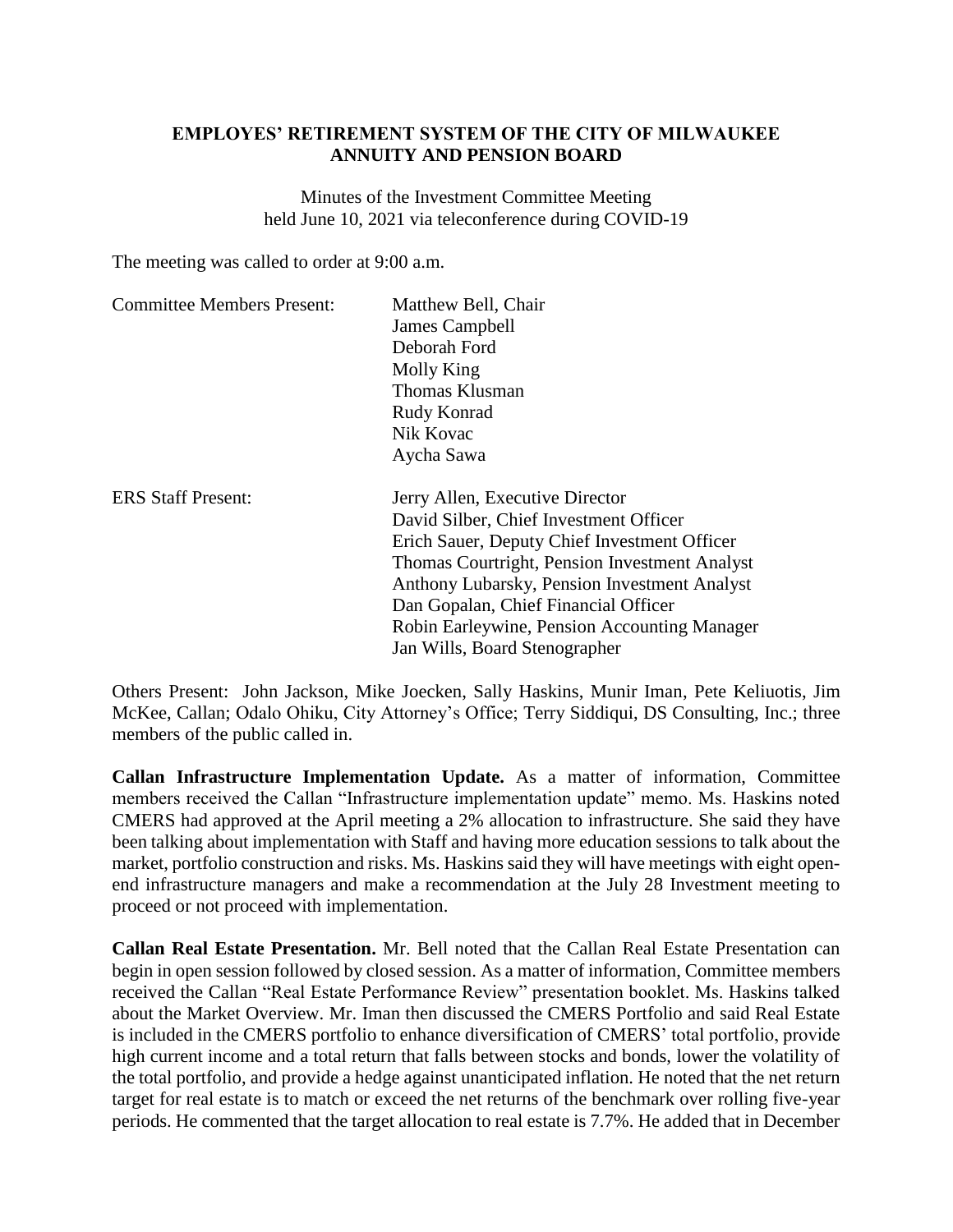## **EMPLOYES' RETIREMENT SYSTEM OF THE CITY OF MILWAUKEE ANNUITY AND PENSION BOARD**

Minutes of the Investment Committee Meeting held June 10, 2021 via teleconference during COVID-19

The meeting was called to order at 9:00 a.m.

| <b>Committee Members Present:</b> | Matthew Bell, Chair<br>James Campbell<br>Deborah Ford<br>Molly King<br>Thomas Klusman<br>Rudy Konrad<br>Nik Kovac<br>Aycha Sawa                                                                                                                                                                                                                     |
|-----------------------------------|-----------------------------------------------------------------------------------------------------------------------------------------------------------------------------------------------------------------------------------------------------------------------------------------------------------------------------------------------------|
| <b>ERS Staff Present:</b>         | Jerry Allen, Executive Director<br>David Silber, Chief Investment Officer<br>Erich Sauer, Deputy Chief Investment Officer<br>Thomas Courtright, Pension Investment Analyst<br>Anthony Lubarsky, Pension Investment Analyst<br>Dan Gopalan, Chief Financial Officer<br>Robin Earleywine, Pension Accounting Manager<br>Jan Wills, Board Stenographer |

Others Present: John Jackson, Mike Joecken, Sally Haskins, Munir Iman, Pete Keliuotis, Jim McKee, Callan; Odalo Ohiku, City Attorney's Office; Terry Siddiqui, DS Consulting, Inc.; three members of the public called in.

**Callan Infrastructure Implementation Update.** As a matter of information, Committee members received the Callan "Infrastructure implementation update" memo. Ms. Haskins noted CMERS had approved at the April meeting a 2% allocation to infrastructure. She said they have been talking about implementation with Staff and having more education sessions to talk about the market, portfolio construction and risks. Ms. Haskins said they will have meetings with eight openend infrastructure managers and make a recommendation at the July 28 Investment meeting to proceed or not proceed with implementation.

**Callan Real Estate Presentation.** Mr. Bell noted that the Callan Real Estate Presentation can begin in open session followed by closed session. As a matter of information, Committee members received the Callan "Real Estate Performance Review" presentation booklet. Ms. Haskins talked about the Market Overview. Mr. Iman then discussed the CMERS Portfolio and said Real Estate is included in the CMERS portfolio to enhance diversification of CMERS' total portfolio, provide high current income and a total return that falls between stocks and bonds, lower the volatility of the total portfolio, and provide a hedge against unanticipated inflation. He noted that the net return target for real estate is to match or exceed the net returns of the benchmark over rolling five-year periods. He commented that the target allocation to real estate is 7.7%. He added that in December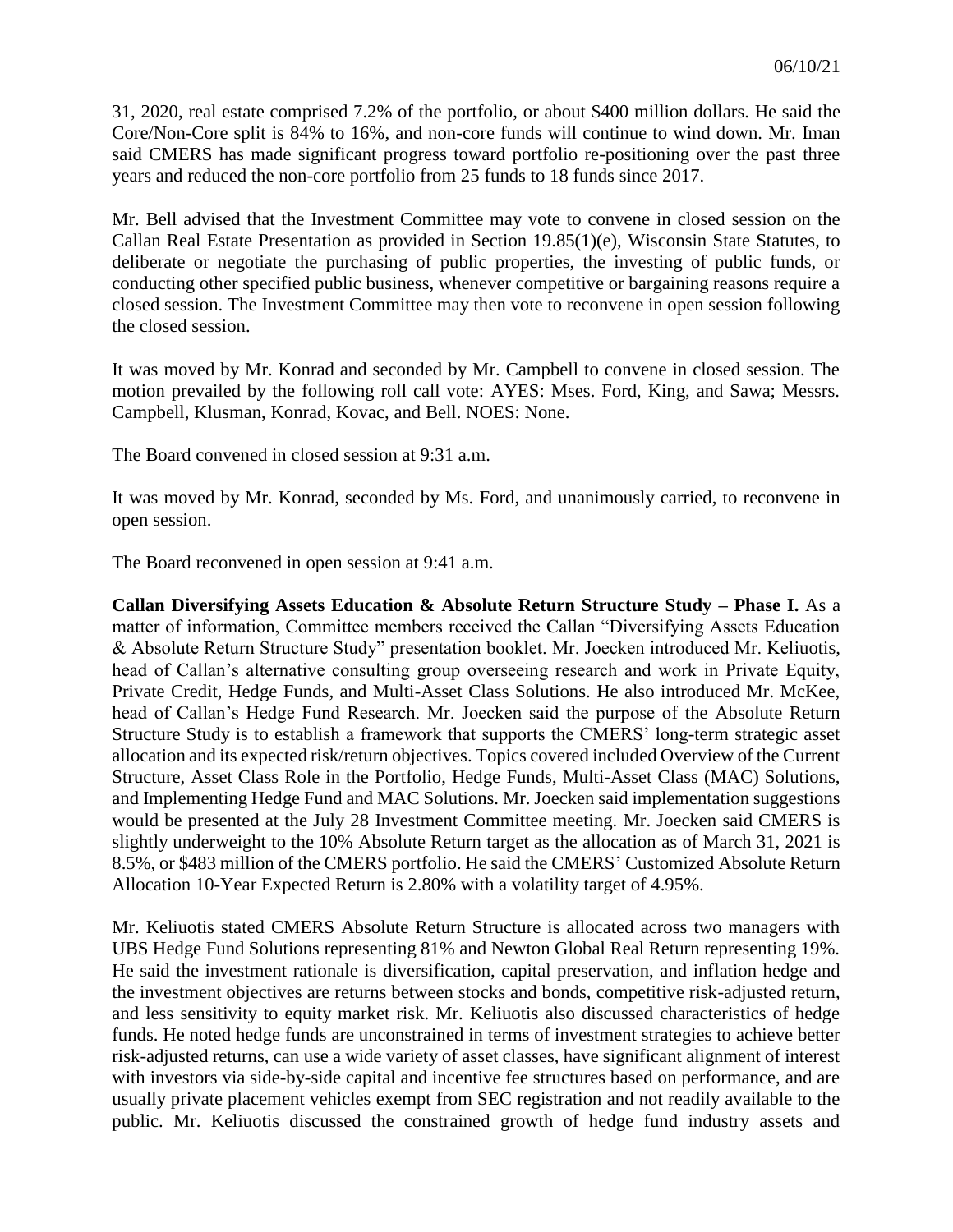31, 2020, real estate comprised 7.2% of the portfolio, or about \$400 million dollars. He said the Core/Non-Core split is 84% to 16%, and non-core funds will continue to wind down. Mr. Iman said CMERS has made significant progress toward portfolio re-positioning over the past three years and reduced the non-core portfolio from 25 funds to 18 funds since 2017.

Mr. Bell advised that the Investment Committee may vote to convene in closed session on the Callan Real Estate Presentation as provided in Section 19.85(1)(e), Wisconsin State Statutes, to deliberate or negotiate the purchasing of public properties, the investing of public funds, or conducting other specified public business, whenever competitive or bargaining reasons require a closed session. The Investment Committee may then vote to reconvene in open session following the closed session.

It was moved by Mr. Konrad and seconded by Mr. Campbell to convene in closed session. The motion prevailed by the following roll call vote: AYES: Mses. Ford, King, and Sawa; Messrs. Campbell, Klusman, Konrad, Kovac, and Bell. NOES: None.

The Board convened in closed session at 9:31 a.m.

It was moved by Mr. Konrad, seconded by Ms. Ford, and unanimously carried, to reconvene in open session.

The Board reconvened in open session at 9:41 a.m.

**Callan Diversifying Assets Education & Absolute Return Structure Study – Phase I.** As a matter of information, Committee members received the Callan "Diversifying Assets Education & Absolute Return Structure Study" presentation booklet. Mr. Joecken introduced Mr. Keliuotis, head of Callan's alternative consulting group overseeing research and work in Private Equity, Private Credit, Hedge Funds, and Multi-Asset Class Solutions. He also introduced Mr. McKee, head of Callan's Hedge Fund Research. Mr. Joecken said the purpose of the Absolute Return Structure Study is to establish a framework that supports the CMERS' long-term strategic asset allocation and its expected risk/return objectives. Topics covered included Overview of the Current Structure, Asset Class Role in the Portfolio, Hedge Funds, Multi-Asset Class (MAC) Solutions, and Implementing Hedge Fund and MAC Solutions. Mr. Joecken said implementation suggestions would be presented at the July 28 Investment Committee meeting. Mr. Joecken said CMERS is slightly underweight to the 10% Absolute Return target as the allocation as of March 31, 2021 is 8.5%, or \$483 million of the CMERS portfolio. He said the CMERS' Customized Absolute Return Allocation 10-Year Expected Return is 2.80% with a volatility target of 4.95%.

Mr. Keliuotis stated CMERS Absolute Return Structure is allocated across two managers with UBS Hedge Fund Solutions representing 81% and Newton Global Real Return representing 19%. He said the investment rationale is diversification, capital preservation, and inflation hedge and the investment objectives are returns between stocks and bonds, competitive risk-adjusted return, and less sensitivity to equity market risk. Mr. Keliuotis also discussed characteristics of hedge funds. He noted hedge funds are unconstrained in terms of investment strategies to achieve better risk-adjusted returns, can use a wide variety of asset classes, have significant alignment of interest with investors via side-by-side capital and incentive fee structures based on performance, and are usually private placement vehicles exempt from SEC registration and not readily available to the public. Mr. Keliuotis discussed the constrained growth of hedge fund industry assets and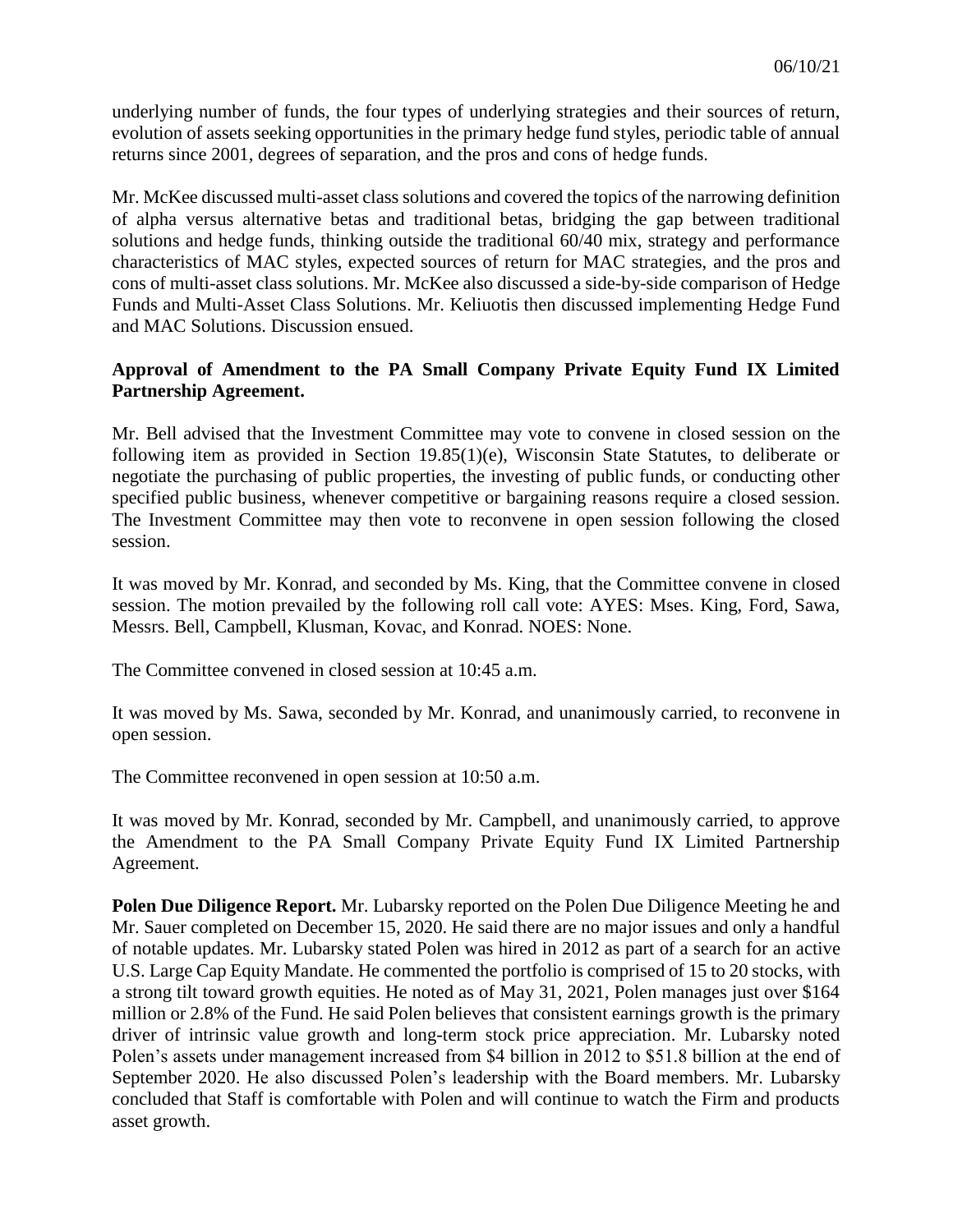underlying number of funds, the four types of underlying strategies and their sources of return, evolution of assets seeking opportunities in the primary hedge fund styles, periodic table of annual returns since 2001, degrees of separation, and the pros and cons of hedge funds.

Mr. McKee discussed multi-asset class solutions and covered the topics of the narrowing definition of alpha versus alternative betas and traditional betas, bridging the gap between traditional solutions and hedge funds, thinking outside the traditional 60/40 mix, strategy and performance characteristics of MAC styles, expected sources of return for MAC strategies, and the pros and cons of multi-asset class solutions. Mr. McKee also discussed a side-by-side comparison of Hedge Funds and Multi-Asset Class Solutions. Mr. Keliuotis then discussed implementing Hedge Fund and MAC Solutions. Discussion ensued.

## **Approval of Amendment to the PA Small Company Private Equity Fund IX Limited Partnership Agreement.**

Mr. Bell advised that the Investment Committee may vote to convene in closed session on the following item as provided in Section 19.85(1)(e), Wisconsin State Statutes, to deliberate or negotiate the purchasing of public properties, the investing of public funds, or conducting other specified public business, whenever competitive or bargaining reasons require a closed session. The Investment Committee may then vote to reconvene in open session following the closed session.

It was moved by Mr. Konrad, and seconded by Ms. King, that the Committee convene in closed session. The motion prevailed by the following roll call vote: AYES: Mses. King, Ford, Sawa, Messrs. Bell, Campbell, Klusman, Kovac, and Konrad. NOES: None.

The Committee convened in closed session at 10:45 a.m.

It was moved by Ms. Sawa, seconded by Mr. Konrad, and unanimously carried, to reconvene in open session.

The Committee reconvened in open session at 10:50 a.m.

It was moved by Mr. Konrad, seconded by Mr. Campbell, and unanimously carried, to approve the Amendment to the PA Small Company Private Equity Fund IX Limited Partnership Agreement.

**Polen Due Diligence Report.** Mr. Lubarsky reported on the Polen Due Diligence Meeting he and Mr. Sauer completed on December 15, 2020. He said there are no major issues and only a handful of notable updates. Mr. Lubarsky stated Polen was hired in 2012 as part of a search for an active U.S. Large Cap Equity Mandate. He commented the portfolio is comprised of 15 to 20 stocks, with a strong tilt toward growth equities. He noted as of May 31, 2021, Polen manages just over \$164 million or 2.8% of the Fund. He said Polen believes that consistent earnings growth is the primary driver of intrinsic value growth and long-term stock price appreciation. Mr. Lubarsky noted Polen's assets under management increased from \$4 billion in 2012 to \$51.8 billion at the end of September 2020. He also discussed Polen's leadership with the Board members. Mr. Lubarsky concluded that Staff is comfortable with Polen and will continue to watch the Firm and products asset growth.